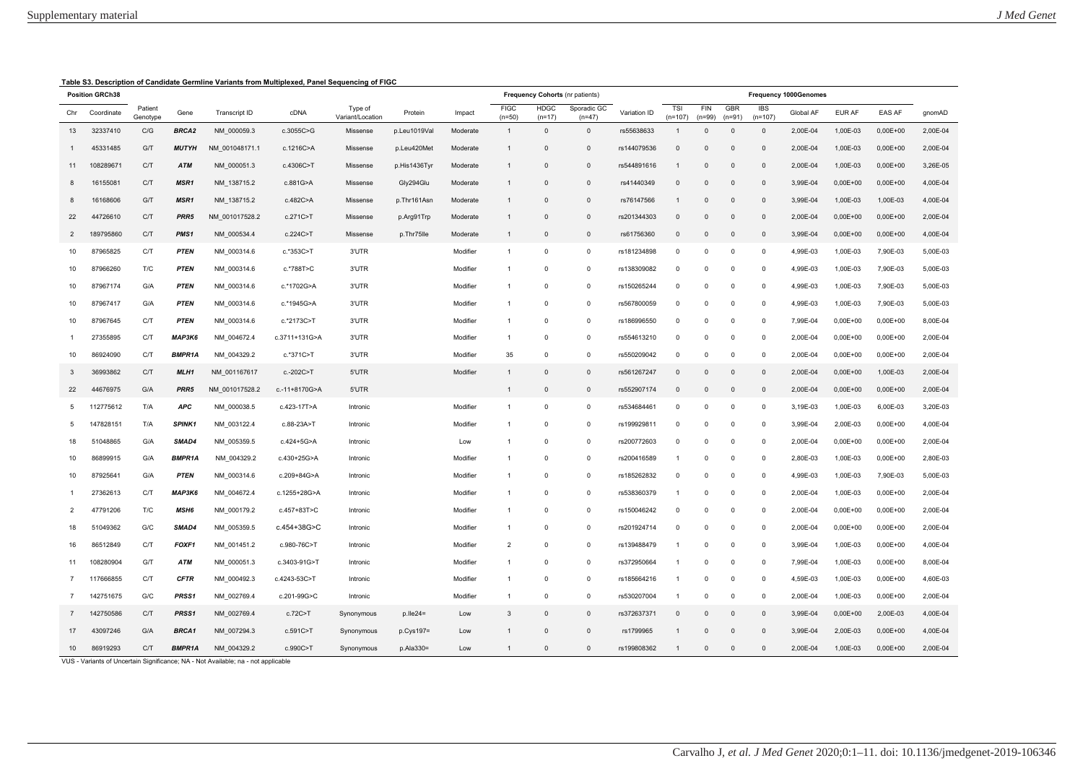|                | <b>Position GRCh38</b> |                     |                   |                                                                                   |               |                             |              |          |                         | Frequency Cohorts (nr patients) |                         |              |                  |                 |                 |                         | <b>Frequency 1000Genomes</b> |            |              |          |
|----------------|------------------------|---------------------|-------------------|-----------------------------------------------------------------------------------|---------------|-----------------------------|--------------|----------|-------------------------|---------------------------------|-------------------------|--------------|------------------|-----------------|-----------------|-------------------------|------------------------------|------------|--------------|----------|
| Chr            | Coordinate             | Patient<br>Genotype | Gene              | Transcript ID                                                                     | cDNA          | Type of<br>Variant/Location | Protein      | Impact   | <b>FIGC</b><br>$(n=50)$ | <b>HDGC</b><br>$(n=17)$         | Sporadic GC<br>$(n=47)$ | Variation ID | TSI<br>$(n=107)$ | FIN<br>$(n=99)$ | GBR<br>$(n=91)$ | <b>IBS</b><br>$(n=107)$ | Global AF                    | EUR AF     | EAS AF       | gnomAD   |
| 13             | 32337410               | C/G                 | BRCA <sub>2</sub> | NM_000059.3                                                                       | c.3055C>G     | Missense                    | p.Leu1019Val | Moderate | $\overline{1}$          | $\mathbf 0$                     | $\mathbf 0$             | rs55638633   | $\overline{1}$   | $\mathbf 0$     | $\Omega$        | $\mathbf 0$             | 2,00E-04                     | 1,00E-03   | $0,00E+00$   | 2,00E-04 |
| $\mathbf{1}$   | 45331485               | G/T                 | <b>MUTYH</b>      | NM_001048171.1                                                                    | c.1216C>A     | Missense                    | p.Leu420Met  | Moderate | $\mathbf{1}$            | $\mathbf{0}$                    | $\mathbf 0$             | rs144079536  | $\mathbf 0$      | $\mathbf 0$     | $\mathbf{0}$    | $\mathbf 0$             | 2,00E-04                     | 1,00E-03   | $0,00E+00$   | 2,00E-04 |
| 11             | 108289671              | C/T                 | <b>ATM</b>        | NM_000051.3                                                                       | c.4306C>T     | Missense                    | p.His1436Tyr | Moderate | $\overline{1}$          | $\mathbf{0}$                    | $\mathbf 0$             | rs544891616  | $\overline{1}$   | $\mathbf 0$     | $\mathbf{0}$    | $\overline{0}$          | 2,00E-04                     | 1,00E-03   | $0,00E+00$   | 3,26E-05 |
| 8              | 16155081               | C/T                 | MSR1              | NM_138715.2                                                                       | c.881G>A      | Missense                    | Gly294Glu    | Moderate | $\mathbf{1}$            | $\mathbf{0}$                    | $\mathbf 0$             | rs41440349   | $\mathbf 0$      | $\mathbf 0$     | $\mathbf{0}$    | $\overline{0}$          | 3,99E-04                     | $0,00E+00$ | $0,00E+00$   | 4,00E-04 |
| 8              | 16168606               | G/T                 | MSR1              | NM_138715.2                                                                       | c.482C>A      | Missense                    | p.Thr161Asn  | Moderate | $\mathbf{1}$            | $\mathbf{0}$                    | $\mathbf 0$             | rs76147566   | 1                | 0               | $\mathbf{0}$    | $\overline{0}$          | 3,99E-04                     | 1,00E-03   | 1,00E-03     | 4,00E-04 |
| 22             | 44726610               | C/T                 | PRR5              | NM_001017528.2                                                                    | c.271C>T      | Missense                    | p.Arg91Trp   | Moderate | $\mathbf{1}$            | $\mathbf{0}$                    | $\mathbf 0$             | rs201344303  | $\mathbf 0$      | 0               | $\mathbf{0}$    | $\overline{0}$          | 2,00E-04                     | $0,00E+00$ | $0,00E+00$   | 2,00E-04 |
| $\overline{2}$ | 189795860              | C/T                 | PMS1              | NM_000534.4                                                                       | c.224C>T      | Missense                    | p.Thr75lle   | Moderate | $\mathbf{1}$            | $\mathsf 0$                     | $\mathsf 0$             | rs61756360   | $\mathbf{0}$     | $\mathbf 0$     | $\mathbf{0}$    | $\overline{0}$          | 3,99E-04                     | $0,00E+00$ | $0,00E+00$   | 4,00E-04 |
| 10             | 87965825               | C/T                 | <b>PTEN</b>       | NM_000314.6                                                                       | c.*353C>T     | 3'UTR                       |              | Modifier | $\overline{1}$          | $\mathbf 0$                     | $\mathsf 0$             | rs181234898  | $\mathbf 0$      | $^{\circ}$      | $\mathbf 0$     | $\mathbf 0$             | 4,99E-03                     | 1,00E-03   | 7,90E-03     | 5,00E-03 |
| 10             | 87966260               | T/C                 | <b>PTEN</b>       | NM_000314.6                                                                       | c.*788T>C     | 3'UTR                       |              | Modifier | $\overline{1}$          | 0                               | $\mathsf 0$             | rs138309082  | $^{\circ}$       | 0               | 0               | $\mathbf 0$             | 4,99E-03                     | 1,00E-03   | 7,90E-03     | 5,00E-03 |
| 10             | 87967174               | G/A                 | <b>PTEN</b>       | NM_000314.6                                                                       | c.*1702G>A    | 3'UTR                       |              | Modifier | -1                      | 0                               | $\mathsf 0$             | rs150265244  | 0                | 0               | 0               | 0                       | 4,99E-03                     | 1,00E-03   | 7,90E-03     | 5,00E-03 |
| 10             | 87967417               | G/A                 | <b>PTEN</b>       | NM_000314.6                                                                       | c.*1945G>A    | 3'UTR                       |              | Modifier | $\overline{1}$          | $\mathbf 0$                     | $\mathbf 0$             | rs567800059  | $^{\circ}$       | 0               | 0               | $\mathbf 0$             | 4,99E-03                     | 1,00E-03   | 7,90E-03     | 5,00E-03 |
| 10             | 87967645               | C/T                 | <b>PTEN</b>       | NM_000314.6                                                                       | c.*2173C>T    | 3'UTR                       |              | Modifier | $\overline{1}$          | $\mathbf 0$                     | $\mathsf 0$             | rs186996550  | $\mathbf 0$      | $\Omega$        | 0               | $\overline{0}$          | 7,99E-04                     | $0,00E+00$ | $0,00E+00$   | 8,00E-04 |
| $\mathbf{1}$   | 27355895               | C/T                 | <b>МАРЗК6</b>     | NM_004672.4                                                                       | c.3711+131G>A | 3'UTR                       |              | Modifier | $\overline{1}$          | $\mathbf 0$                     | $\mathbf 0$             | rs554613210  | $\Omega$         | $\Omega$        | $\Omega$        | $\mathbf 0$             | 2,00E-04                     | $0,00E+00$ | $0,00E+00$   | 2,00E-04 |
| 10             | 86924090               | C/T                 | <b>BMPR1A</b>     | NM_004329.2                                                                       | c.*371C>T     | 3'UTR                       |              | Modifier | 35                      | $\mathbf 0$                     | $\mathsf 0$             | rs550209042  | $\mathbf 0$      | 0               | $\mathbf{0}$    | $\mathbf 0$             | 2,00E-04                     | $0,00E+00$ | $0,00E+00$   | 2,00E-04 |
| 3              | 36993862               | C/T                 | MLH1              | NM_001167617                                                                      | c.-202C>T     | 5'UTR                       |              | Modifier | $\mathbf{1}$            | $\mathbf 0$                     | $\mathbf 0$             | rs561267247  | $\mathbf 0$      | $\Omega$        | $\mathbf 0$     | $\mathbf 0$             | 2,00E-04                     | $0,00E+00$ | 1,00E-03     | 2,00E-04 |
| 22             | 44676975               | G/A                 | PRR5              | NM 001017528.2                                                                    | c.-11+8170G>A | 5'UTR                       |              |          | $\mathbf{1}$            | $\mathbf 0$                     | $\mathsf 0$             | rs552907174  | $\mathbf{0}$     | $\mathbf 0$     | $\mathbf{0}$    | $\overline{0}$          | 2,00E-04                     | $0,00E+00$ | $0,00E+00$   | 2,00E-04 |
| 5              | 112775612              | T/A                 | <b>APC</b>        | NM_000038.5                                                                       | c.423-17T>A   | Intronic                    |              | Modifier | $\overline{1}$          | $\mathbf 0$                     | $\mathbf 0$             | rs534684461  | $\mathbf 0$      | $^{\circ}$      | $\mathbf 0$     | $\overline{0}$          | 3,19E-03                     | 1,00E-03   | 6,00E-03     | 3,20E-03 |
| 5              | 147828151              | T/A                 | SPINK1            | NM_003122.4                                                                       | c.88-23A>T    | Intronic                    |              | Modifier | $\overline{1}$          | 0                               | $\mathbf 0$             | rs199929811  | $^{\circ}$       | $^{\circ}$      | 0               | $\mathbf 0$             | 3,99E-04                     | 2,00E-03   | $0,00E + 00$ | 4,00E-04 |
| 18             | 51048865               | G/A                 | SMAD4             | NM_005359.5                                                                       | c.424+5G>A    | Intronic                    |              | Low      | $\mathbf{1}$            | 0                               | 0                       | rs200772603  | $^{\circ}$       | $\mathbf 0$     | 0               | 0                       | 2,00E-04                     | $0,00E+00$ | $0,00E+00$   | 2,00E-04 |
| 10             | 86899915               | G/A                 | <b>BMPR1A</b>     | NM_004329.2                                                                       | c.430+25G>A   | Intronic                    |              | Modifier | $\mathbf{1}$            | $\mathbf 0$                     | $\mathbf 0$             | rs200416589  | $\overline{1}$   | $\mathbf 0$     | 0               | 0                       | 2,80E-03                     | 1,00E-03   | $0,00E+00$   | 2,80E-03 |
| 10             | 87925641               | G/A                 | <b>PTEN</b>       | NM_000314.6                                                                       | c.209+84G>A   | Intronic                    |              | Modifier | $\mathbf{1}$            | 0                               | $\mathbf 0$             | rs185262832  | $^{\circ}$       | 0               | 0               | 0                       | 4,99E-03                     | 1,00E-03   | 7,90E-03     | 5,00E-03 |
| $\overline{1}$ | 27362613               | C/T                 | <b>МАРЗК6</b>     | NM_004672.4                                                                       | c.1255+28G>A  | Intronic                    |              | Modifier | $\mathbf{1}$            | 0                               | $\mathbf 0$             | rs538360379  | $\mathbf{1}$     | $\mathbf 0$     | 0               | 0                       | 2,00E-04                     | 1,00E-03   | $0,00E+00$   | 2,00E-04 |
| $\overline{2}$ | 47791206               | T/C                 | MSH6              | NM_000179.2                                                                       | c.457+83T>C   | Intronic                    |              | Modifier | $\overline{1}$          | 0                               | $\mathsf 0$             | rs150046242  | 0                | 0               | $\mathbf 0$     | $\mathbf 0$             | 2,00E-04                     | $0,00E+00$ | $0,00E+00$   | 2,00E-04 |
| 18             | 51049362               | G/C                 | SMAD4             | NM_005359.5                                                                       | c.454+38G>C   | Intronic                    |              | Modifier | $\overline{1}$          | $\mathbf 0$                     | $\mathsf 0$             | rs201924714  | $^{\circ}$       | $\Omega$        | 0               | $\mathbf 0$             | 2,00E-04                     | $0,00E+00$ | $0,00E+00$   | 2,00E-04 |
| 16             | 86512849               | C/T                 | FOXF1             | NM_001451.2                                                                       | c.980-76C>T   | Intronic                    |              | Modifier | $\overline{2}$          | 0                               | 0                       | rs139488479  | -1               | 0               | 0               | $\overline{0}$          | 3,99E-04                     | 1,00E-03   | $0,00E+00$   | 4,00E-04 |
| 11             | 108280904              | G/T                 | ATM               | NM_000051.3                                                                       | c.3403-91G>T  | Intronic                    |              | Modifier | $\mathbf{1}$            | $\Omega$                        | $\mathbf 0$             | rs372950664  | -1               | $\Omega$        | $\Omega$        | $\mathbf 0$             | 7,99E-04                     | 1,00E-03   | $0,00E+00$   | 8,00E-04 |
| $\overline{7}$ | 117666855              | C/T                 | <b>CFTR</b>       | NM_000492.3                                                                       | c.4243-53C>T  | Intronic                    |              | Modifier | $\overline{1}$          | $\mathbf 0$                     | 0                       | rs185664216  | -1               | 0               | $\mathbf 0$     | $\overline{0}$          | 4,59E-03                     | 1,00E-03   | $0,00E+00$   | 4,60E-03 |
| 7              | 142751675              | G/C                 | PRSS1             | NM_002769.4                                                                       | c.201-99G>C   | Intronic                    |              | Modifier | $\mathbf{1}$            | $\mathbf 0$                     | $\mathbf 0$             | rs530207004  | -1               | $^{\circ}$      | $\mathbf 0$     | $\mathbf 0$             | 2,00E-04                     | 1,00E-03   | $0,00E+00$   | 2,00E-04 |
| $\overline{7}$ | 142750586              | C/T                 | PRSS1             | NM_002769.4                                                                       | c.72C>T       | Synonymous                  | $p.Ile24=$   | Low      | 3                       | $\mathbf 0$                     | $\mathbf 0$             | rs372637371  | $\mathbf 0$      | $\Omega$        | $\Omega$        | $\overline{0}$          | 3,99E-04                     | $0,00E+00$ | 2,00E-03     | 4,00E-04 |
| 17             | 43097246               | G/A                 | BRCA1             | NM_007294.3                                                                       | c.591C>T      | Synonymous                  | p.Cys197=    | Low      | $\overline{1}$          | $\mathbf{0}$                    | $\mathbf 0$             | rs1799965    | $\mathbf{1}$     | $\Omega$        | $\mathbf{0}$    | $\overline{0}$          | 3,99E-04                     | 2,00E-03   | $0,00E+00$   | 4,00E-04 |
| 10             | 86919293               | C/T                 | <b>BMPR1A</b>     | NM_004329.2                                                                       | c.990C>T      | Synonymous                  | p.Ala330=    | Low      | $\mathbf{1}$            | $\mathbf 0$                     | $\mathbf 0$             | rs199808362  | $\mathbf{1}$     | $\mathbf{0}$    | $\mathbf 0$     | $\mathbf 0$             | 2,00E-04                     | 1,00E-03   | $0,00E+00$   | 2,00E-04 |
|                |                        |                     |                   | VUS - Variants of Uncertain Significance; NA - Not Available; na - not applicable |               |                             |              |          |                         |                                 |                         |              |                  |                 |                 |                         |                              |            |              |          |

**Table S3. Description of Candidate Germline Variants from Multiplexed, Panel Sequencing of FIGC**